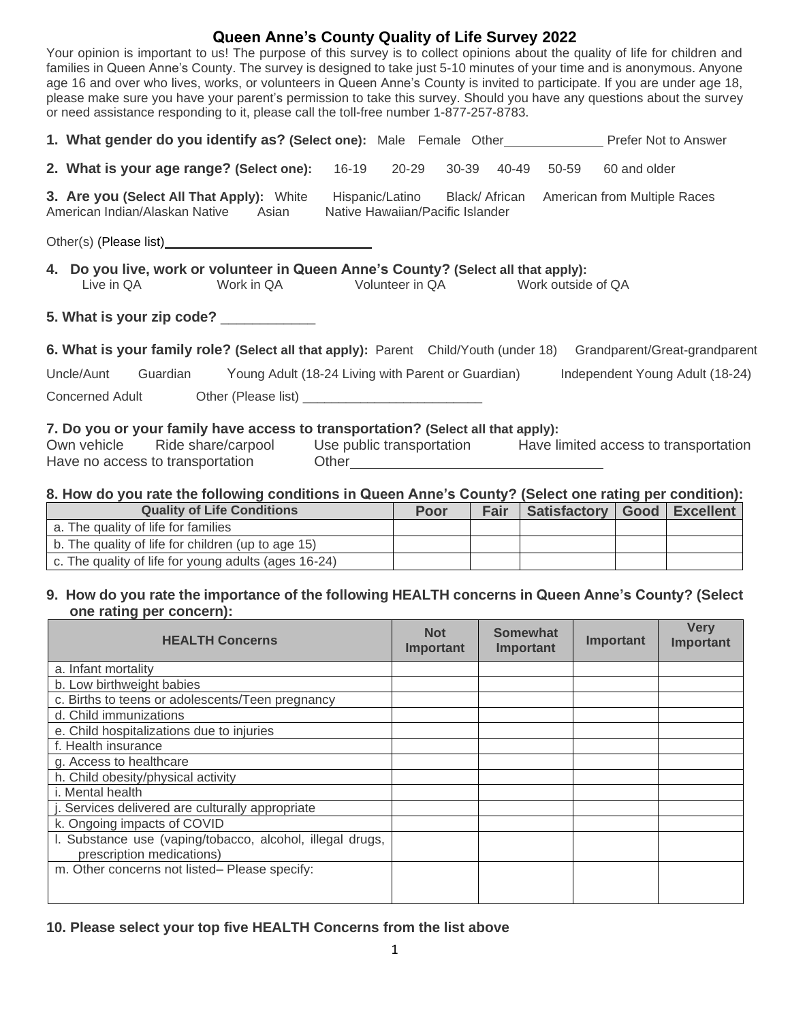# **Queen Anne's County Quality of Life Survey 2022**

Your opinion is important to us! The purpose of this survey is to collect opinions about the quality of life for children and families in Queen Anne's County. The survey is designed to take just 5-10 minutes of your time and is anonymous. Anyone age 16 and over who lives, works, or volunteers in Queen Anne's County is invited to participate. If you are under age 18, please make sure you have your parent's permission to take this survey. Should you have any questions about the survey or need assistance responding to it, please call the toll-free number 1-877-257-8783.

|                                                                                                                                                                                                                        | 1. What gender do you identify as? (Select one): Male Female Other Mondon Prefer Not to Answer |                                  |       |       |       |       |                                                             |  |
|------------------------------------------------------------------------------------------------------------------------------------------------------------------------------------------------------------------------|------------------------------------------------------------------------------------------------|----------------------------------|-------|-------|-------|-------|-------------------------------------------------------------|--|
|                                                                                                                                                                                                                        | 2. What is your age range? (Select one): 16-19                                                 |                                  | 20-29 | 30-39 | 40-49 | 50-59 | 60 and older                                                |  |
|                                                                                                                                                                                                                        | 3. Are you (Select All That Apply): White<br>American Indian/Alaskan Native Asian              | Native Hawaiian/Pacific Islander |       |       |       |       | Hispanic/Latino Black/ African American from Multiple Races |  |
|                                                                                                                                                                                                                        |                                                                                                |                                  |       |       |       |       |                                                             |  |
| 4. Do you live, work or volunteer in Queen Anne's County? (Select all that apply):<br>Work in QA<br>Volunteer in QA Work outside of QA<br>Live in QA                                                                   |                                                                                                |                                  |       |       |       |       |                                                             |  |
|                                                                                                                                                                                                                        | 5. What is your zip code? ____________                                                         |                                  |       |       |       |       |                                                             |  |
| 6. What is your family role? (Select all that apply): Parent Child/Youth (under 18)<br>Grandparent/Great-grandparent                                                                                                   |                                                                                                |                                  |       |       |       |       |                                                             |  |
|                                                                                                                                                                                                                        | Young Adult (18-24 Living with Parent or Guardian)<br>Uncle/Aunt Guardian                      |                                  |       |       |       |       | Independent Young Adult (18-24)                             |  |
|                                                                                                                                                                                                                        |                                                                                                |                                  |       |       |       |       |                                                             |  |
| 7. Do you or your family have access to transportation? (Select all that apply):<br>Own vehicle Ride share/carpool Use public transportation Have limited access to transportation<br>Have no access to transportation |                                                                                                |                                  |       |       |       |       |                                                             |  |

#### **8. How do you rate the following conditions in Queen Anne's County? (Select one rating per condition):**

| <b>Quality of Life Conditions</b>                    | Poor | <b>Fair</b> | Satisfactory   Good   Excellent |  |
|------------------------------------------------------|------|-------------|---------------------------------|--|
| a. The quality of life for families                  |      |             |                                 |  |
| b. The quality of life for children (up to age 15)   |      |             |                                 |  |
| c. The quality of life for young adults (ages 16-24) |      |             |                                 |  |

#### **9. How do you rate the importance of the following HEALTH concerns in Queen Anne's County? (Select one rating per concern):**

| <b>HEALTH Concerns</b>                                                                 | <b>Not</b><br>Important | <b>Somewhat</b><br>Important | Important | <b>Verv</b><br>Important |
|----------------------------------------------------------------------------------------|-------------------------|------------------------------|-----------|--------------------------|
| a. Infant mortality                                                                    |                         |                              |           |                          |
| b. Low birthweight babies                                                              |                         |                              |           |                          |
| c. Births to teens or adolescents/Teen pregnancy                                       |                         |                              |           |                          |
| d. Child immunizations                                                                 |                         |                              |           |                          |
| e. Child hospitalizations due to injuries                                              |                         |                              |           |                          |
| f. Health insurance                                                                    |                         |                              |           |                          |
| g. Access to healthcare                                                                |                         |                              |           |                          |
| h. Child obesity/physical activity                                                     |                         |                              |           |                          |
| i. Mental health                                                                       |                         |                              |           |                          |
| Services delivered are culturally appropriate                                          |                         |                              |           |                          |
| k. Ongoing impacts of COVID                                                            |                         |                              |           |                          |
| I. Substance use (vaping/tobacco, alcohol, illegal drugs,<br>prescription medications) |                         |                              |           |                          |
| m. Other concerns not listed-Please specify:                                           |                         |                              |           |                          |

## **10. Please select your top five HEALTH Concerns from the list above**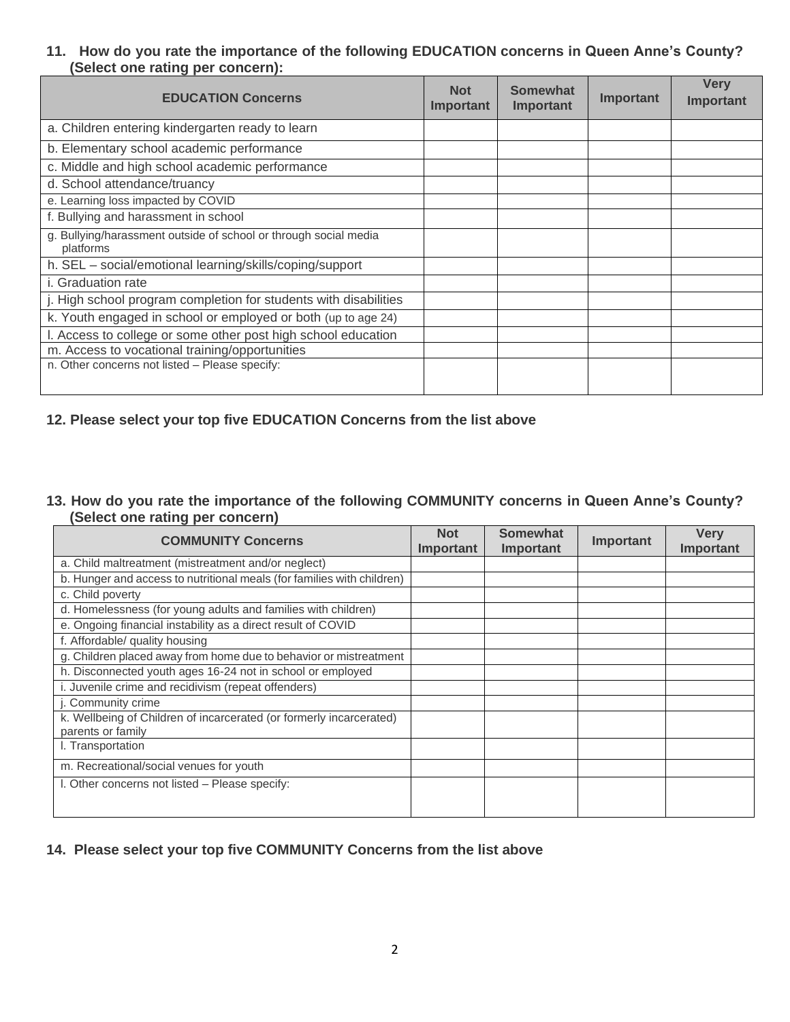## **11. How do you rate the importance of the following EDUCATION concerns in Queen Anne's County? (Select one rating per concern):**

| <b>EDUCATION Concerns</b>                                                     | <b>Not</b><br>Important | <b>Somewhat</b><br>Important | Important | <b>Very</b><br>Important |
|-------------------------------------------------------------------------------|-------------------------|------------------------------|-----------|--------------------------|
| a. Children entering kindergarten ready to learn                              |                         |                              |           |                          |
| b. Elementary school academic performance                                     |                         |                              |           |                          |
| c. Middle and high school academic performance                                |                         |                              |           |                          |
| d. School attendance/truancy                                                  |                         |                              |           |                          |
| e. Learning loss impacted by COVID                                            |                         |                              |           |                          |
| f. Bullying and harassment in school                                          |                         |                              |           |                          |
| g. Bullying/harassment outside of school or through social media<br>platforms |                         |                              |           |                          |
| h. SEL - social/emotional learning/skills/coping/support                      |                         |                              |           |                          |
| <i>i.</i> Graduation rate                                                     |                         |                              |           |                          |
| j. High school program completion for students with disabilities              |                         |                              |           |                          |
| k. Youth engaged in school or employed or both (up to age 24)                 |                         |                              |           |                          |
| I. Access to college or some other post high school education                 |                         |                              |           |                          |
| m. Access to vocational training/opportunities                                |                         |                              |           |                          |
| n. Other concerns not listed - Please specify:                                |                         |                              |           |                          |

## **12. Please select your top five EDUCATION Concerns from the list above**

#### **13. How do you rate the importance of the following COMMUNITY concerns in Queen Anne's County? (Select one rating per concern)**

| <b>COMMUNITY Concerns</b>                                              | <b>Not</b><br>Important | <b>Somewhat</b><br>Important | Important | <b>Very</b><br>Important |
|------------------------------------------------------------------------|-------------------------|------------------------------|-----------|--------------------------|
| a. Child maltreatment (mistreatment and/or neglect)                    |                         |                              |           |                          |
| b. Hunger and access to nutritional meals (for families with children) |                         |                              |           |                          |
| c. Child poverty                                                       |                         |                              |           |                          |
| d. Homelessness (for young adults and families with children)          |                         |                              |           |                          |
| e. Ongoing financial instability as a direct result of COVID           |                         |                              |           |                          |
| f. Affordable/ quality housing                                         |                         |                              |           |                          |
| g. Children placed away from home due to behavior or mistreatment      |                         |                              |           |                          |
| h. Disconnected youth ages 16-24 not in school or employed             |                         |                              |           |                          |
| i. Juvenile crime and recidivism (repeat offenders)                    |                         |                              |           |                          |
| j. Community crime                                                     |                         |                              |           |                          |
| k. Wellbeing of Children of incarcerated (or formerly incarcerated)    |                         |                              |           |                          |
| parents or family                                                      |                         |                              |           |                          |
| I. Transportation                                                      |                         |                              |           |                          |
| m. Recreational/social venues for youth                                |                         |                              |           |                          |
| I. Other concerns not listed – Please specify:                         |                         |                              |           |                          |
|                                                                        |                         |                              |           |                          |

## **14. Please select your top five COMMUNITY Concerns from the list above**